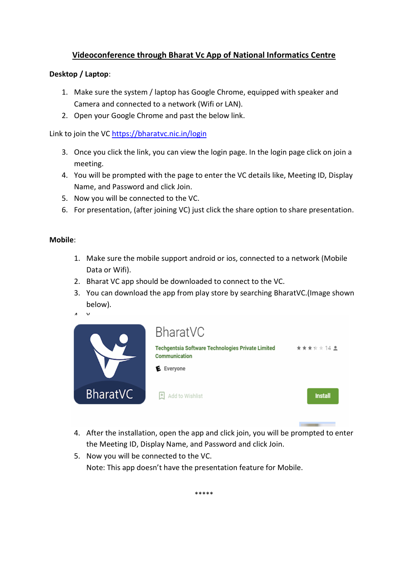# Videoconference through Bharat Vc App of National Informatics Centre

## Desktop / Laptop:

- 1. Make sure the system / laptop has Google Chrome, equipped with speaker and Camera and connected to a network (Wifi or LAN).
- 2. Open your Google Chrome and past the below link.

Link to join the VC https://bharatvc.nic.in/login

- 3. Once you click the link, you can view the login page. In the login page click on join a meeting.
- 4. You will be prompted with the page to enter the VC details like, Meeting ID, Display Name, and Password and click Join.
- 5. Now you will be connected to the VC.
- 6. For presentation, (after joining VC) just click the share option to share presentation.

#### Mobile:

- 1. Make sure the mobile support android or ios, connected to a network (Mobile Data or Wifi).
- 2. Bharat VC app should be downloaded to connect to the VC.
- 3. You can download the app from play store by searching BharatVC.(Image shown below).
- $\mathbf{A}$   $\mathbf{V}$

|                 | BharatVC                                                           |                |
|-----------------|--------------------------------------------------------------------|----------------|
|                 | Techgentsia Software Technologies Private Limited<br>Communication | ★★★☆☆14 ±      |
|                 | E Everyone                                                         |                |
| <b>BharatVC</b> | Add to Wishlist                                                    | <b>Install</b> |

4. After the installation, open the app and click join, you will be prompted to enter the Meeting ID, Display Name, and Password and click Join.

 $\sim$ 

5. Now you will be connected to the VC. Note: This app doesn't have the presentation feature for Mobile.

\*\*\*\*\*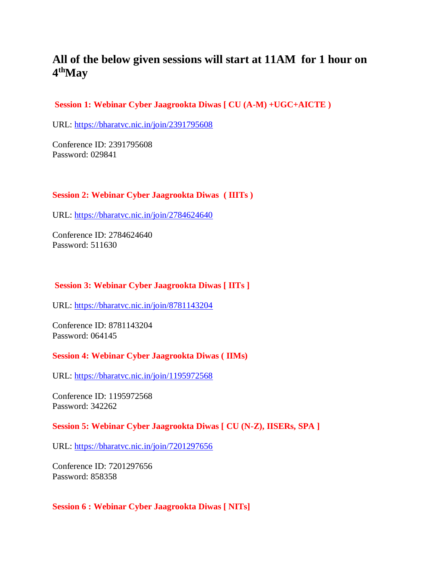# **All of the below given sessions will start at 11AM for 1 hour on 4 thMay**

## **Session 1: Webinar Cyber Jaagrookta Diwas [ CU (A-M) +UGC+AICTE )**

URL: <https://bharatvc.nic.in/join/2391795608>

Conference ID: 2391795608 Password: 029841

#### **Session 2: Webinar Cyber Jaagrookta Diwas ( IIITs )**

URL: <https://bharatvc.nic.in/join/2784624640>

Conference ID: 2784624640 Password: 511630

#### **Session 3: Webinar Cyber Jaagrookta Diwas [ IITs ]**

URL: <https://bharatvc.nic.in/join/8781143204>

Conference ID: 8781143204 Password: 064145

#### **Session 4: Webinar Cyber Jaagrookta Diwas ( IIMs)**

URL: <https://bharatvc.nic.in/join/1195972568>

Conference ID: 1195972568 Password: 342262

#### **Session 5: Webinar Cyber Jaagrookta Diwas [ CU (N-Z), IISERs, SPA ]**

URL: <https://bharatvc.nic.in/join/7201297656>

Conference ID: 7201297656 Password: 858358

#### **Session 6 : Webinar Cyber Jaagrookta Diwas [ NITs]**